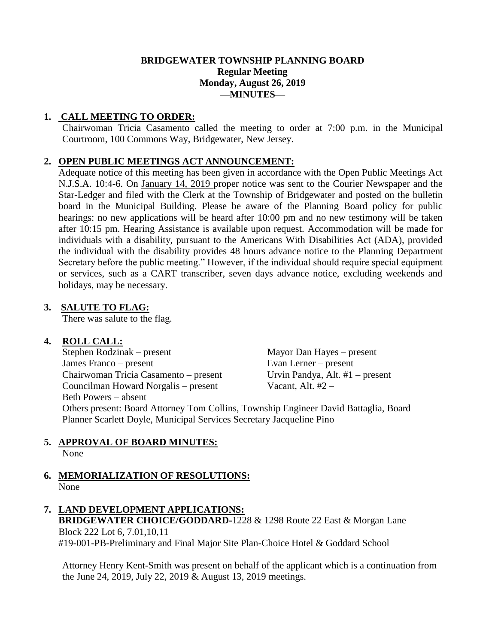#### **BRIDGEWATER TOWNSHIP PLANNING BOARD Regular Meeting Monday, August 26, 2019 —MINUTES—**

#### **1. CALL MEETING TO ORDER:**

Chairwoman Tricia Casamento called the meeting to order at 7:00 p.m. in the Municipal Courtroom, 100 Commons Way, Bridgewater, New Jersey.

#### **2. OPEN PUBLIC MEETINGS ACT ANNOUNCEMENT:**

Adequate notice of this meeting has been given in accordance with the Open Public Meetings Act N.J.S.A. 10:4-6. On January 14, 2019 proper notice was sent to the Courier Newspaper and the Star-Ledger and filed with the Clerk at the Township of Bridgewater and posted on the bulletin board in the Municipal Building. Please be aware of the Planning Board policy for public hearings: no new applications will be heard after 10:00 pm and no new testimony will be taken after 10:15 pm. Hearing Assistance is available upon request. Accommodation will be made for individuals with a disability, pursuant to the Americans With Disabilities Act (ADA), provided the individual with the disability provides 48 hours advance notice to the Planning Department Secretary before the public meeting." However, if the individual should require special equipment or services, such as a CART transcriber, seven days advance notice, excluding weekends and holidays, may be necessary.

#### **3. SALUTE TO FLAG:**

There was salute to the flag.

#### **4. ROLL CALL:**

Stephen Rodzinak – present Mayor Dan Hayes – present James Franco – present Evan Lerner – present Chairwoman Tricia Casamento – present Councilman Howard Norgalis – present Vacant, Alt. #2 – Beth Powers – absent

Evan Lerner – present<br>Urvin Pandya, Alt. #1 – present

Others present: Board Attorney Tom Collins, Township Engineer David Battaglia, Board Planner Scarlett Doyle, Municipal Services Secretary Jacqueline Pino

# **5. APPROVAL OF BOARD MINUTES:**

None

#### **6. MEMORIALIZATION OF RESOLUTIONS:** None

### **7. LAND DEVELOPMENT APPLICATIONS: BRIDGEWATER CHOICE/GODDARD-**1228 & 1298 Route 22 East & Morgan Lane Block 222 Lot 6, 7.01,10,11

#19-001-PB-Preliminary and Final Major Site Plan-Choice Hotel & Goddard School

Attorney Henry Kent-Smith was present on behalf of the applicant which is a continuation from the June 24, 2019, July 22, 2019 & August 13, 2019 meetings.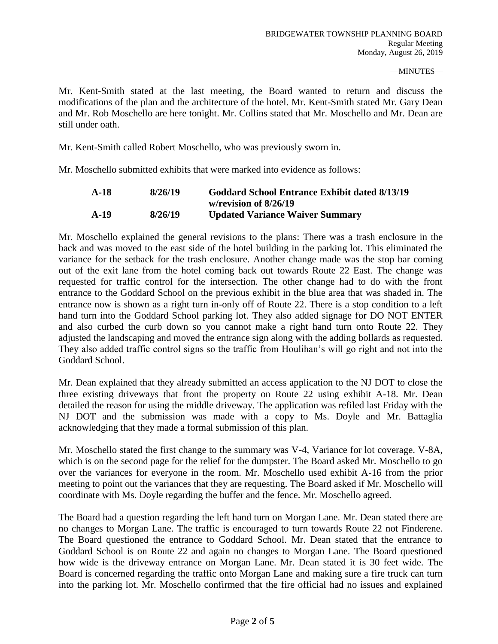Mr. Kent-Smith stated at the last meeting, the Board wanted to return and discuss the modifications of the plan and the architecture of the hotel. Mr. Kent-Smith stated Mr. Gary Dean and Mr. Rob Moschello are here tonight. Mr. Collins stated that Mr. Moschello and Mr. Dean are still under oath.

Mr. Kent-Smith called Robert Moschello, who was previously sworn in.

Mr. Moschello submitted exhibits that were marked into evidence as follows:

| $A-18$ | 8/26/19 | Goddard School Entrance Exhibit dated 8/13/19 |
|--------|---------|-----------------------------------------------|
|        |         | w/revision of $8/26/19$                       |
| $A-19$ | 8/26/19 | <b>Updated Variance Waiver Summary</b>        |

Mr. Moschello explained the general revisions to the plans: There was a trash enclosure in the back and was moved to the east side of the hotel building in the parking lot. This eliminated the variance for the setback for the trash enclosure. Another change made was the stop bar coming out of the exit lane from the hotel coming back out towards Route 22 East. The change was requested for traffic control for the intersection. The other change had to do with the front entrance to the Goddard School on the previous exhibit in the blue area that was shaded in. The entrance now is shown as a right turn in-only off of Route 22. There is a stop condition to a left hand turn into the Goddard School parking lot. They also added signage for DO NOT ENTER and also curbed the curb down so you cannot make a right hand turn onto Route 22. They adjusted the landscaping and moved the entrance sign along with the adding bollards as requested. They also added traffic control signs so the traffic from Houlihan's will go right and not into the Goddard School.

Mr. Dean explained that they already submitted an access application to the NJ DOT to close the three existing driveways that front the property on Route 22 using exhibit A-18. Mr. Dean detailed the reason for using the middle driveway. The application was refiled last Friday with the NJ DOT and the submission was made with a copy to Ms. Doyle and Mr. Battaglia acknowledging that they made a formal submission of this plan.

Mr. Moschello stated the first change to the summary was V-4, Variance for lot coverage. V-8A, which is on the second page for the relief for the dumpster. The Board asked Mr. Moschello to go over the variances for everyone in the room. Mr. Moschello used exhibit A-16 from the prior meeting to point out the variances that they are requesting. The Board asked if Mr. Moschello will coordinate with Ms. Doyle regarding the buffer and the fence. Mr. Moschello agreed.

The Board had a question regarding the left hand turn on Morgan Lane. Mr. Dean stated there are no changes to Morgan Lane. The traffic is encouraged to turn towards Route 22 not Finderene. The Board questioned the entrance to Goddard School. Mr. Dean stated that the entrance to Goddard School is on Route 22 and again no changes to Morgan Lane. The Board questioned how wide is the driveway entrance on Morgan Lane. Mr. Dean stated it is 30 feet wide. The Board is concerned regarding the traffic onto Morgan Lane and making sure a fire truck can turn into the parking lot. Mr. Moschello confirmed that the fire official had no issues and explained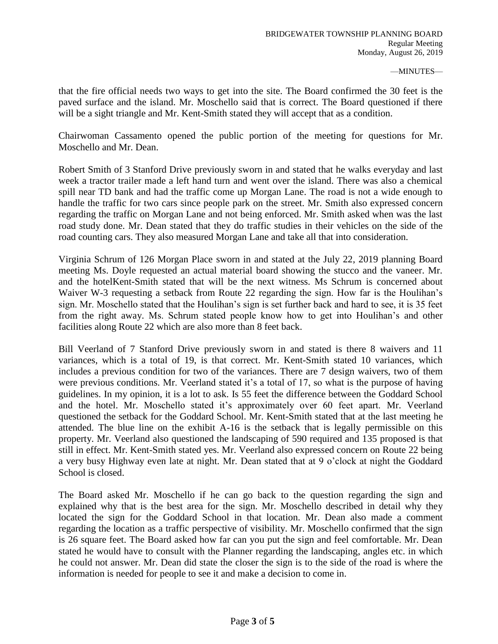that the fire official needs two ways to get into the site. The Board confirmed the 30 feet is the paved surface and the island. Mr. Moschello said that is correct. The Board questioned if there will be a sight triangle and Mr. Kent-Smith stated they will accept that as a condition.

Chairwoman Cassamento opened the public portion of the meeting for questions for Mr. Moschello and Mr. Dean.

Robert Smith of 3 Stanford Drive previously sworn in and stated that he walks everyday and last week a tractor trailer made a left hand turn and went over the island. There was also a chemical spill near TD bank and had the traffic come up Morgan Lane. The road is not a wide enough to handle the traffic for two cars since people park on the street. Mr. Smith also expressed concern regarding the traffic on Morgan Lane and not being enforced. Mr. Smith asked when was the last road study done. Mr. Dean stated that they do traffic studies in their vehicles on the side of the road counting cars. They also measured Morgan Lane and take all that into consideration.

Virginia Schrum of 126 Morgan Place sworn in and stated at the July 22, 2019 planning Board meeting Ms. Doyle requested an actual material board showing the stucco and the vaneer. Mr. and the hotelKent-Smith stated that will be the next witness. Ms Schrum is concerned about Waiver W-3 requesting a setback from Route 22 regarding the sign. How far is the Houlihan's sign. Mr. Moschello stated that the Houlihan's sign is set further back and hard to see, it is 35 feet from the right away. Ms. Schrum stated people know how to get into Houlihan's and other facilities along Route 22 which are also more than 8 feet back.

Bill Veerland of 7 Stanford Drive previously sworn in and stated is there 8 waivers and 11 variances, which is a total of 19, is that correct. Mr. Kent-Smith stated 10 variances, which includes a previous condition for two of the variances. There are 7 design waivers, two of them were previous conditions. Mr. Veerland stated it's a total of 17, so what is the purpose of having guidelines. In my opinion, it is a lot to ask. Is 55 feet the difference between the Goddard School and the hotel. Mr. Moschello stated it's approximately over 60 feet apart. Mr. Veerland questioned the setback for the Goddard School. Mr. Kent-Smith stated that at the last meeting he attended. The blue line on the exhibit A-16 is the setback that is legally permissible on this property. Mr. Veerland also questioned the landscaping of 590 required and 135 proposed is that still in effect. Mr. Kent-Smith stated yes. Mr. Veerland also expressed concern on Route 22 being a very busy Highway even late at night. Mr. Dean stated that at 9 o'clock at night the Goddard School is closed.

The Board asked Mr. Moschello if he can go back to the question regarding the sign and explained why that is the best area for the sign. Mr. Moschello described in detail why they located the sign for the Goddard School in that location. Mr. Dean also made a comment regarding the location as a traffic perspective of visibility. Mr. Moschello confirmed that the sign is 26 square feet. The Board asked how far can you put the sign and feel comfortable. Mr. Dean stated he would have to consult with the Planner regarding the landscaping, angles etc. in which he could not answer. Mr. Dean did state the closer the sign is to the side of the road is where the information is needed for people to see it and make a decision to come in.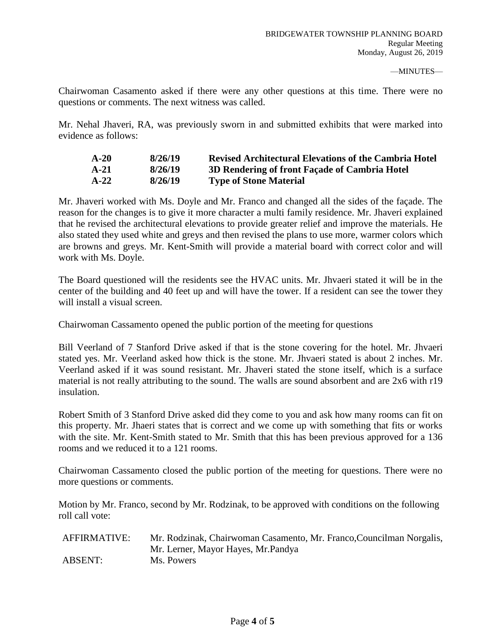Chairwoman Casamento asked if there were any other questions at this time. There were no questions or comments. The next witness was called.

Mr. Nehal Jhaveri, RA, was previously sworn in and submitted exhibits that were marked into evidence as follows:

| $A-20$ | 8/26/19 | <b>Revised Architectural Elevations of the Cambria Hotel</b> |
|--------|---------|--------------------------------------------------------------|
| $A-21$ | 8/26/19 | 3D Rendering of front Façade of Cambria Hotel                |
| $A-22$ | 8/26/19 | <b>Type of Stone Material</b>                                |

Mr. Jhaveri worked with Ms. Doyle and Mr. Franco and changed all the sides of the façade. The reason for the changes is to give it more character a multi family residence. Mr. Jhaveri explained that he revised the architectural elevations to provide greater relief and improve the materials. He also stated they used white and greys and then revised the plans to use more, warmer colors which are browns and greys. Mr. Kent-Smith will provide a material board with correct color and will work with Ms. Doyle.

The Board questioned will the residents see the HVAC units. Mr. Jhvaeri stated it will be in the center of the building and 40 feet up and will have the tower. If a resident can see the tower they will install a visual screen.

Chairwoman Cassamento opened the public portion of the meeting for questions

Bill Veerland of 7 Stanford Drive asked if that is the stone covering for the hotel. Mr. Jhvaeri stated yes. Mr. Veerland asked how thick is the stone. Mr. Jhvaeri stated is about 2 inches. Mr. Veerland asked if it was sound resistant. Mr. Jhaveri stated the stone itself, which is a surface material is not really attributing to the sound. The walls are sound absorbent and are 2x6 with r19 insulation.

Robert Smith of 3 Stanford Drive asked did they come to you and ask how many rooms can fit on this property. Mr. Jhaeri states that is correct and we come up with something that fits or works with the site. Mr. Kent-Smith stated to Mr. Smith that this has been previous approved for a 136 rooms and we reduced it to a 121 rooms.

Chairwoman Cassamento closed the public portion of the meeting for questions. There were no more questions or comments.

Motion by Mr. Franco, second by Mr. Rodzinak, to be approved with conditions on the following roll call vote:

| AFFIRMATIVE: | Mr. Rodzinak, Chairwoman Casamento, Mr. Franco, Councilman Norgalis, |
|--------------|----------------------------------------------------------------------|
|              | Mr. Lerner, Mayor Hayes, Mr. Pandya                                  |
| ABSENT:      | Ms. Powers                                                           |